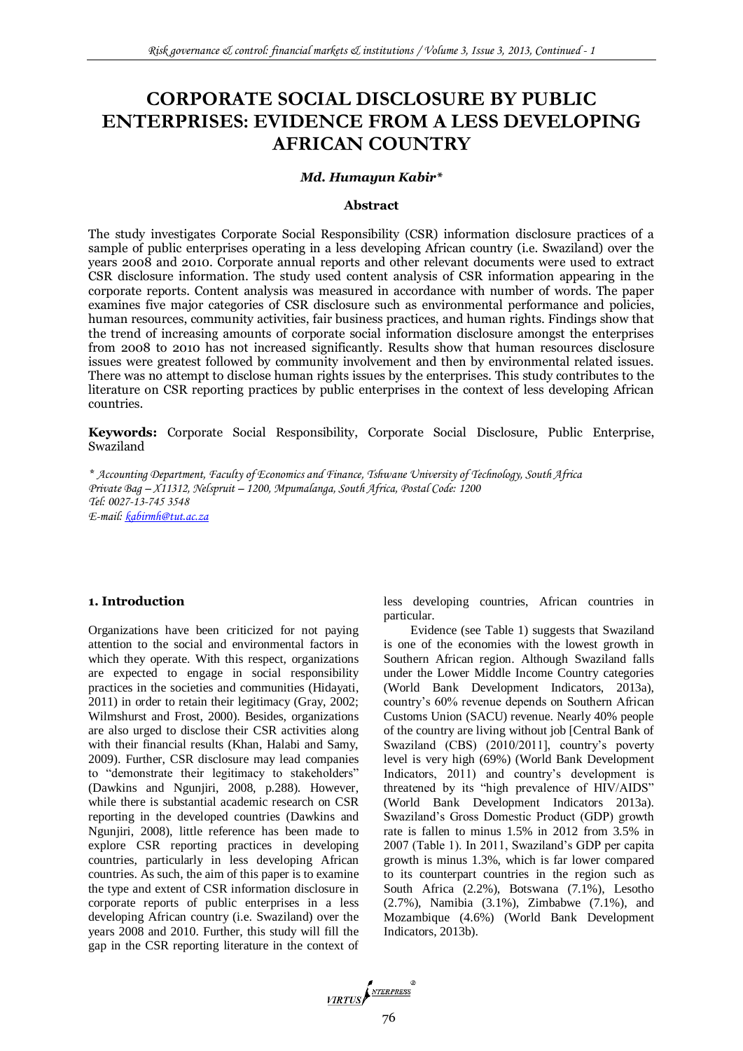# **CORPORATE SOCIAL DISCLOSURE BY PUBLIC ENTERPRISES: EVIDENCE FROM A LESS DEVELOPING AFRICAN COUNTRY**

#### *Md. Humayun Kabir\**

#### **Abstract**

The study investigates Corporate Social Responsibility (CSR) information disclosure practices of a sample of public enterprises operating in a less developing African country (i.e. Swaziland) over the years 2008 and 2010. Corporate annual reports and other relevant documents were used to extract CSR disclosure information. The study used content analysis of CSR information appearing in the corporate reports. Content analysis was measured in accordance with number of words. The paper examines five major categories of CSR disclosure such as environmental performance and policies, human resources, community activities, fair business practices, and human rights. Findings show that the trend of increasing amounts of corporate social information disclosure amongst the enterprises from 2008 to 2010 has not increased significantly. Results show that human resources disclosure issues were greatest followed by community involvement and then by environmental related issues. There was no attempt to disclose human rights issues by the enterprises. This study contributes to the literature on CSR reporting practices by public enterprises in the context of less developing African countries.

**Keywords:** Corporate Social Responsibility, Corporate Social Disclosure, Public Enterprise, Swaziland

*\* Accounting Department, Faculty of Economics and Finance, Tshwane University of Technology, South Africa Private Bag – X11312, Nelspruit – 1200, Mpumalanga, South Africa, Postal Code: 1200 Tel: 0027-13-745 3548 E-mail: [kabirmh@tut.ac.za](mailto:kabirmh@tut.ac.za)*

#### **1. Introduction**

Organizations have been criticized for not paying attention to the social and environmental factors in which they operate. With this respect, organizations are expected to engage in social responsibility practices in the societies and communities (Hidayati, 2011) in order to retain their legitimacy (Gray, 2002; Wilmshurst and Frost, 2000). Besides, organizations are also urged to disclose their CSR activities along with their financial results (Khan, Halabi and Samy, 2009). Further, CSR disclosure may lead companies to "demonstrate their legitimacy to stakeholders" (Dawkins and Ngunjiri, 2008, p.288). However, while there is substantial academic research on CSR reporting in the developed countries (Dawkins and Ngunjiri, 2008), little reference has been made to explore CSR reporting practices in developing countries, particularly in less developing African countries. As such, the aim of this paper is to examine the type and extent of CSR information disclosure in corporate reports of public enterprises in a less developing African country (i.e. Swaziland) over the years 2008 and 2010. Further, this study will fill the gap in the CSR reporting literature in the context of less developing countries, African countries in particular.

Evidence (see Table 1) suggests that Swaziland is one of the economies with the lowest growth in Southern African region. Although Swaziland falls under the Lower Middle Income Country categories (World Bank Development Indicators, 2013a), country's 60% revenue depends on Southern African Customs Union (SACU) revenue. Nearly 40% people of the country are living without job [Central Bank of Swaziland (CBS) (2010/2011], country's poverty level is very high (69%) (World Bank Development Indicators, 2011) and country's development is threatened by its "high prevalence of HIV/AIDS" (World Bank Development Indicators 2013a). Swaziland's Gross Domestic Product (GDP) growth rate is fallen to minus 1.5% in 2012 from 3.5% in 2007 (Table 1). In 2011, Swaziland's GDP per capita growth is minus 1.3%, which is far lower compared to its counterpart countries in the region such as South Africa (2.2%), Botswana (7.1%), Lesotho (2.7%), Namibia (3.1%), Zimbabwe (7.1%), and Mozambique (4.6%) (World Bank Development Indicators, 2013b).

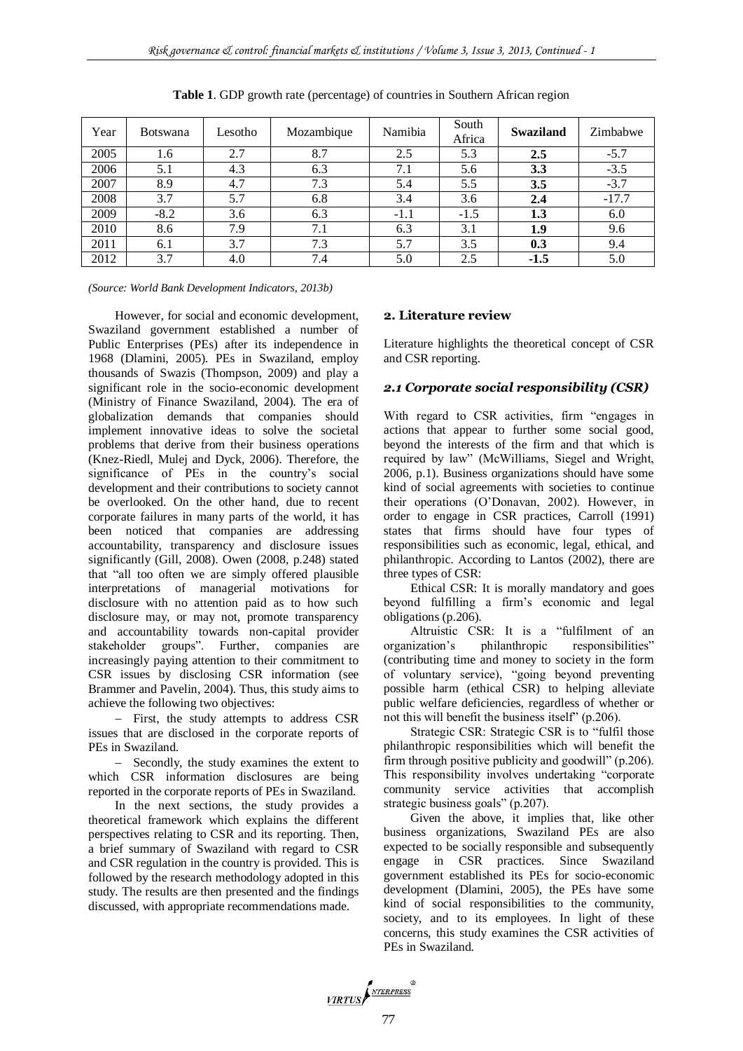| Year | <b>Botswana</b> | Lesotho | Mozambique | Namibia | South<br>Africa | <b>Swaziland</b> | Zimbabwe |
|------|-----------------|---------|------------|---------|-----------------|------------------|----------|
| 2005 | 1.6             | 2.7     | 8.7        | 2.5     | 5.3             | 2.5              | $-5.7$   |
| 2006 | 5.1             | 4.3     | 6.3        | 7.1     | 5.6             | 3.3              | $-3.5$   |
| 2007 | 8.9             | 4.7     | 7.3        | 5.4     | 5.5             | 3.5              | $-3.7$   |
| 2008 | 3.7             | 5.7     | 6.8        | 3.4     | 3.6             | 2.4              | $-17.7$  |
| 2009 | $-8.2$          | 3.6     | 6.3        | $-1.1$  | $-1.5$          | 1.3              | 6.0      |
| 2010 | 8.6             | 7.9     | 7.1        | 6.3     | 3.1             | 1.9              | 9.6      |
| 2011 | 6.1             | 3.7     | 7.3        | 5.7     | 3.5             | 0.3              | 9.4      |
| 2012 | 3.7             | 4.0     | 7.4        | 5.0     | 2.5             | $-1.5$           | 5.0      |

**Table 1**. GDP growth rate (percentage) of countries in Southern African region

*(Source: World Bank Development Indicators, 2013b)*

However, for social and economic development, Swaziland government established a number of Public Enterprises (PEs) after its independence in 1968 (Dlamini, 2005). PEs in Swaziland, employ thousands of Swazis (Thompson, 2009) and play a significant role in the socio-economic development (Ministry of Finance Swaziland, 2004). The era of globalization demands that companies should implement innovative ideas to solve the societal problems that derive from their business operations (Knez-Riedl, Mulej and Dyck, 2006). Therefore, the significance of PEs in the country's social development and their contributions to society cannot be overlooked. On the other hand, due to recent corporate failures in many parts of the world, it has been noticed that companies are addressing accountability, transparency and disclosure issues significantly (Gill, 2008). Owen (2008, p.248) stated that "all too often we are simply offered plausible interpretations of managerial motivations for disclosure with no attention paid as to how such disclosure may, or may not, promote transparency and accountability towards non-capital provider stakeholder groups". Further, companies are increasingly paying attention to their commitment to CSR issues by disclosing CSR information (see Brammer and Pavelin, 2004). Thus, this study aims to achieve the following two objectives:

- First, the study attempts to address CSR issues that are disclosed in the corporate reports of PEs in Swaziland.

- Secondly, the study examines the extent to which CSR information disclosures are being reported in the corporate reports of PEs in Swaziland.

In the next sections, the study provides a theoretical framework which explains the different perspectives relating to CSR and its reporting. Then, a brief summary of Swaziland with regard to CSR and CSR regulation in the country is provided. This is followed by the research methodology adopted in this study. The results are then presented and the findings discussed, with appropriate recommendations made.

#### **2. Literature review**

Literature highlights the theoretical concept of CSR and CSR reporting.

#### *2.1 Corporate social responsibility (CSR)*

With regard to CSR activities, firm "engages in actions that appear to further some social good, beyond the interests of the firm and that which is required by law" (McWilliams, Siegel and Wright, 2006, p.1). Business organizations should have some kind of social agreements with societies to continue their operations (O'Donavan, 2002). However, in order to engage in CSR practices, Carroll (1991) states that firms should have four types of responsibilities such as economic, legal, ethical, and philanthropic. According to Lantos (2002), there are three types of CSR:

Ethical CSR: It is morally mandatory and goes beyond fulfilling a firm's economic and legal obligations (p.206).

Altruistic CSR: It is a "fulfilment of an organization's philanthropic responsibilities" (contributing time and money to society in the form of voluntary service), "going beyond preventing possible harm (ethical CSR) to helping alleviate public welfare deficiencies, regardless of whether or not this will benefit the business itself" (p.206).

Strategic CSR: Strategic CSR is to "fulfil those philanthropic responsibilities which will benefit the firm through positive publicity and goodwill" (p.206). This responsibility involves undertaking "corporate community service activities that accomplish strategic business goals" (p.207).

Given the above, it implies that, like other business organizations, Swaziland PEs are also expected to be socially responsible and subsequently engage in CSR practices. Since Swaziland government established its PEs for socio-economic development (Dlamini, 2005), the PEs have some kind of social responsibilities to the community, society, and to its employees. In light of these concerns, this study examines the CSR activities of PEs in Swaziland.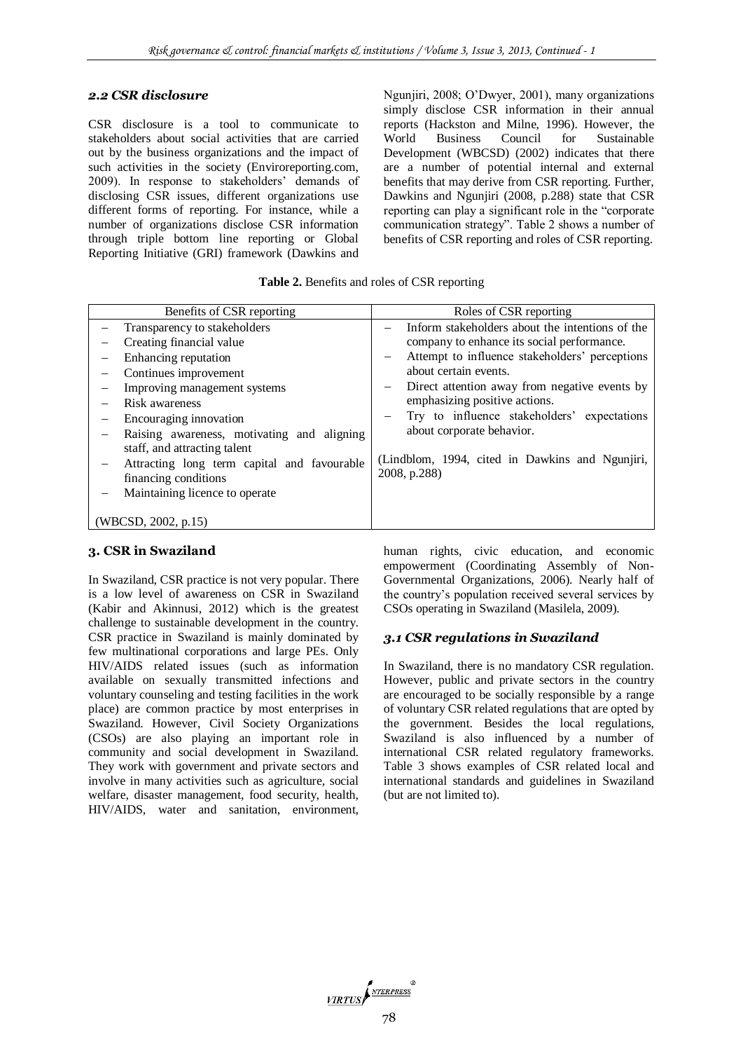#### *2.2 CSR disclosure*

CSR disclosure is a tool to communicate to stakeholders about social activities that are carried out by the business organizations and the impact of such activities in the society (Enviroreporting.com, 2009). In response to stakeholders' demands of disclosing CSR issues, different organizations use different forms of reporting. For instance, while a number of organizations disclose CSR information through triple bottom line reporting or Global Reporting Initiative (GRI) framework (Dawkins and

Ngunjiri, 2008; O'Dwyer, 2001), many organizations simply disclose CSR information in their annual reports (Hackston and Milne, 1996). However, the World Business Council for Sustainable Development (WBCSD) (2002) indicates that there are a number of potential internal and external benefits that may derive from CSR reporting. Further, Dawkins and Ngunjiri (2008, p.288) state that CSR reporting can play a significant role in the "corporate communication strategy". Table 2 shows a number of benefits of CSR reporting and roles of CSR reporting.

**Table 2.** Benefits and roles of CSR reporting

| Benefits of CSR reporting                                                                                                                                                                                                                                                                                                                                                                           | Roles of CSR reporting                                                                                                                                                                                                                                                                                                                                                                                         |  |  |
|-----------------------------------------------------------------------------------------------------------------------------------------------------------------------------------------------------------------------------------------------------------------------------------------------------------------------------------------------------------------------------------------------------|----------------------------------------------------------------------------------------------------------------------------------------------------------------------------------------------------------------------------------------------------------------------------------------------------------------------------------------------------------------------------------------------------------------|--|--|
| Transparency to stakeholders<br>Creating financial value<br>Enhancing reputation<br>Continues improvement<br>Improving management systems<br>Risk awareness<br>Encouraging innovation<br>Raising awareness, motivating and aligning<br>staff, and attracting talent<br>Attracting long term capital and favourable<br>financing conditions<br>Maintaining licence to operate<br>(WBCSD, 2002, p.15) | Inform stakeholders about the intentions of the<br>company to enhance its social performance.<br>Attempt to influence stakeholders' perceptions<br>about certain events.<br>Direct attention away from negative events by<br>-<br>emphasizing positive actions.<br>Try to influence stakeholders' expectations<br>about corporate behavior.<br>(Lindblom, 1994, cited in Dawkins and Ngunjiri,<br>2008, p.288) |  |  |

#### **3. CSR in Swaziland**

In Swaziland, CSR practice is not very popular. There is a low level of awareness on CSR in Swaziland (Kabir and Akinnusi, 2012) which is the greatest challenge to sustainable development in the country. CSR practice in Swaziland is mainly dominated by few multinational corporations and large PEs. Only HIV/AIDS related issues (such as information available on sexually transmitted infections and voluntary counseling and testing facilities in the work place) are common practice by most enterprises in Swaziland. However, Civil Society Organizations (CSOs) are also playing an important role in community and social development in Swaziland. They work with government and private sectors and involve in many activities such as agriculture, social welfare, disaster management, food security, health, HIV/AIDS, water and sanitation, environment,

human rights, civic education, and economic empowerment (Coordinating Assembly of Non-Governmental Organizations, 2006). Nearly half of the country's population received several services by CSOs operating in Swaziland (Masilela, 2009).

#### *3.1 CSR regulations in Swaziland*

In Swaziland, there is no mandatory CSR regulation. However, public and private sectors in the country are encouraged to be socially responsible by a range of voluntary CSR related regulations that are opted by the government. Besides the local regulations, Swaziland is also influenced by a number of international CSR related regulatory frameworks. Table 3 shows examples of CSR related local and international standards and guidelines in Swaziland (but are not limited to).

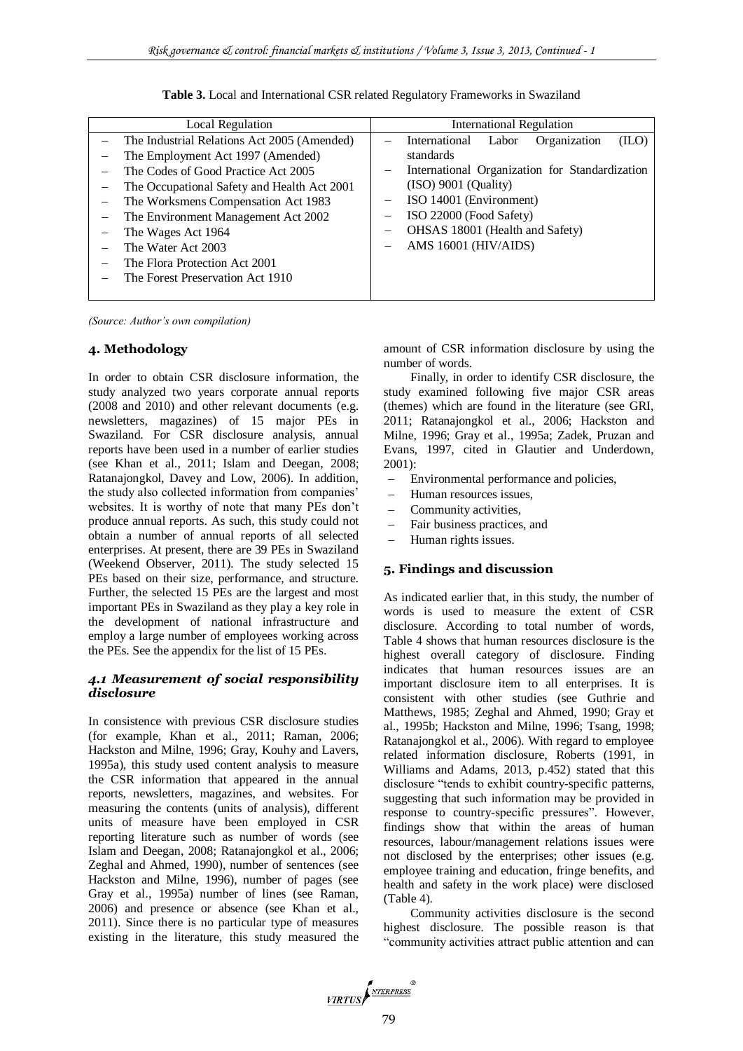| Local Regulation                                                                                                                                                                                                                                                                                                                                                      | <b>International Regulation</b>                                                                                                                                                                                                                                                          |
|-----------------------------------------------------------------------------------------------------------------------------------------------------------------------------------------------------------------------------------------------------------------------------------------------------------------------------------------------------------------------|------------------------------------------------------------------------------------------------------------------------------------------------------------------------------------------------------------------------------------------------------------------------------------------|
| The Industrial Relations Act 2005 (Amended)<br>The Employment Act 1997 (Amended)<br>The Codes of Good Practice Act 2005<br>The Occupational Safety and Health Act 2001<br>The Worksmens Compensation Act 1983<br>The Environment Management Act 2002<br>The Wages Act 1964<br>The Water Act 2003<br>The Flora Protection Act 2001<br>The Forest Preservation Act 1910 | Labor<br>Organization<br>International<br>(ILO)<br>standards<br>International Organization for Standardization<br>$\qquad \qquad -$<br>$(ISO)$ 9001 (Quality)<br>ISO 14001 (Environment)<br>—<br>ISO 22000 (Food Safety)<br>-<br>OHSAS 18001 (Health and Safety)<br>AMS 16001 (HIV/AIDS) |

**Table 3.** Local and International CSR related Regulatory Frameworks in Swaziland

*(Source: Author's own compilation)*

# **4. Methodology**

In order to obtain CSR disclosure information, the study analyzed two years corporate annual reports (2008 and 2010) and other relevant documents (e.g. newsletters, magazines) of 15 major PEs in Swaziland. For CSR disclosure analysis, annual reports have been used in a number of earlier studies (see Khan et al., 2011; Islam and Deegan, 2008; Ratanajongkol, Davey and Low, 2006). In addition, the study also collected information from companies' websites. It is worthy of note that many PEs don't produce annual reports. As such, this study could not obtain a number of annual reports of all selected enterprises. At present, there are 39 PEs in Swaziland (Weekend Observer, 2011). The study selected 15 PEs based on their size, performance, and structure. Further, the selected 15 PEs are the largest and most important PEs in Swaziland as they play a key role in the development of national infrastructure and employ a large number of employees working across the PEs. See the appendix for the list of 15 PEs.

### *4.1 Measurement of social responsibility disclosure*

In consistence with previous CSR disclosure studies (for example, Khan et al., 2011; Raman, 2006; Hackston and Milne, 1996; Gray, Kouhy and Lavers, 1995a), this study used content analysis to measure the CSR information that appeared in the annual reports, newsletters, magazines, and websites. For measuring the contents (units of analysis), different units of measure have been employed in CSR reporting literature such as number of words (see Islam and Deegan, 2008; Ratanajongkol et al., 2006; Zeghal and Ahmed, 1990), number of sentences (see Hackston and Milne, 1996), number of pages (see Gray et al., 1995a) number of lines (see Raman, 2006) and presence or absence (see Khan et al., 2011). Since there is no particular type of measures existing in the literature, this study measured the amount of CSR information disclosure by using the number of words.

Finally, in order to identify CSR disclosure, the study examined following five major CSR areas (themes) which are found in the literature (see GRI, 2011; Ratanajongkol et al., 2006; Hackston and Milne, 1996; Gray et al., 1995a; Zadek, Pruzan and Evans, 1997, cited in Glautier and Underdown, 2001):

- Environmental performance and policies,
- Human resources issues,
- Community activities,
- Fair business practices, and
- Human rights issues.

## **5. Findings and discussion**

As indicated earlier that, in this study, the number of words is used to measure the extent of CSR disclosure. According to total number of words, Table 4 shows that human resources disclosure is the highest overall category of disclosure. Finding indicates that human resources issues are an important disclosure item to all enterprises. It is consistent with other studies (see Guthrie and Matthews, 1985; Zeghal and Ahmed, 1990; Gray et al., 1995b; Hackston and Milne, 1996; Tsang, 1998; Ratanajongkol et al., 2006). With regard to employee related information disclosure, Roberts (1991, in Williams and Adams, 2013, p.452) stated that this disclosure "tends to exhibit country-specific patterns, suggesting that such information may be provided in response to country-specific pressures". However, findings show that within the areas of human resources, labour/management relations issues were not disclosed by the enterprises; other issues (e.g. employee training and education, fringe benefits, and health and safety in the work place) were disclosed (Table 4).

Community activities disclosure is the second highest disclosure. The possible reason is that "community activities attract public attention and can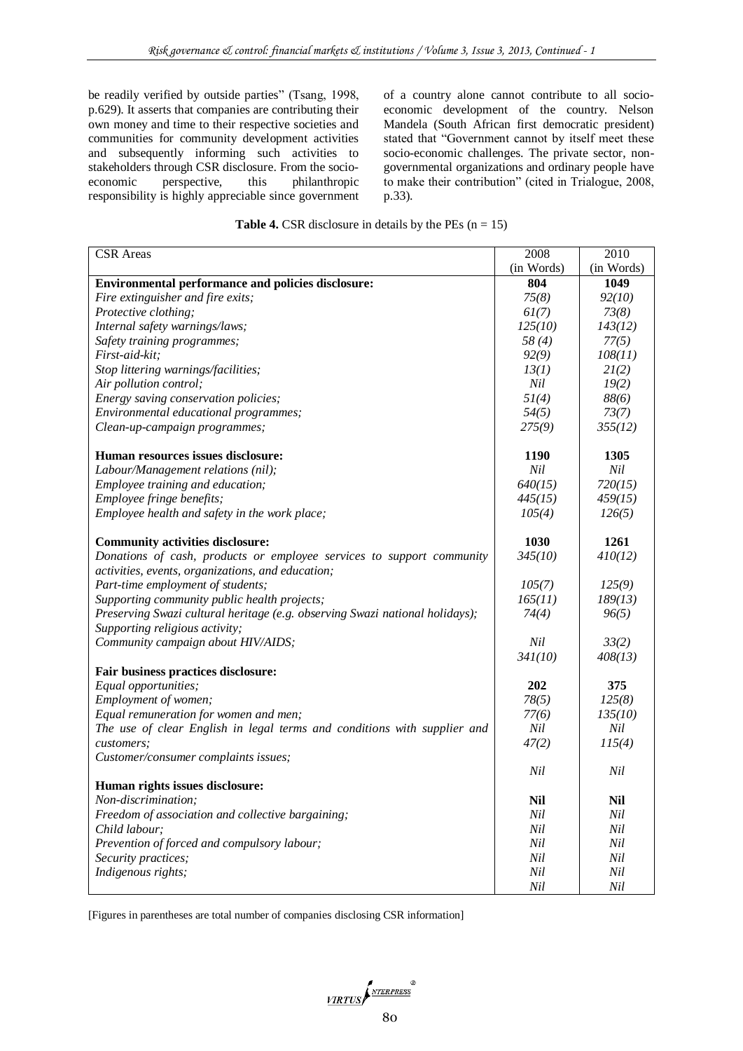be readily verified by outside parties" (Tsang, 1998, p.629). It asserts that companies are contributing their own money and time to their respective societies and communities for community development activities and subsequently informing such activities to stakeholders through CSR disclosure. From the socioeconomic perspective, this philanthropic responsibility is highly appreciable since government of a country alone cannot contribute to all socioeconomic development of the country. Nelson Mandela (South African first democratic president) stated that "Government cannot by itself meet these socio-economic challenges. The private sector, nongovernmental organizations and ordinary people have to make their contribution" (cited in Trialogue, 2008, p.33).

| <b>Table 4.</b> CSR disclosure in details by the PEs $(n = 15)$ |  |  |  |  |  |
|-----------------------------------------------------------------|--|--|--|--|--|
|-----------------------------------------------------------------|--|--|--|--|--|

| <b>CSR</b> Areas                                                             | 2008        | 2010        |
|------------------------------------------------------------------------------|-------------|-------------|
|                                                                              | (in Words)  | (in Words)  |
| <b>Environmental performance and policies disclosure:</b>                    | 804         | <b>1049</b> |
| Fire extinguisher and fire exits;                                            | 75(8)       | 92(10)      |
| Protective clothing;                                                         | 61(7)       | 73(8)       |
| Internal safety warnings/laws;                                               | 125(10)     | 143(12)     |
| Safety training programmes;                                                  | 58(4)       | 77(5)       |
| First-aid-kit;                                                               | 92(9)       | 108(11)     |
| Stop littering warnings/facilities;                                          | 13(1)       | 2I(2)       |
| Air pollution control;                                                       | Nil         | 19(2)       |
| Energy saving conservation policies;                                         | 5I(4)       | 88(6)       |
| Environmental educational programmes;                                        | 54(5)       | 73(7)       |
| Clean-up-campaign programmes;                                                | 275(9)      | 355(12)     |
| Human resources issues disclosure:                                           | <b>1190</b> | 1305        |
| Labour/Management relations (nil);                                           | Nil         | Nil         |
| Employee training and education;                                             | 640(15)     | 720(15)     |
| Employee fringe benefits;                                                    | 445(15)     | 459(15)     |
| Employee health and safety in the work place;                                | 105(4)      | 126(5)      |
| <b>Community activities disclosure:</b>                                      | 1030        | 1261        |
| Donations of cash, products or employee services to support community        | 345(10)     | 410(12)     |
| activities, events, organizations, and education;                            |             |             |
| Part-time employment of students;                                            | 105(7)      | 125(9)      |
| Supporting community public health projects;                                 | 165(11)     | 189(13)     |
| Preserving Swazi cultural heritage (e.g. observing Swazi national holidays); | 74(4)       | 96(5)       |
| Supporting religious activity;                                               |             |             |
| Community campaign about HIV/AIDS;                                           | Nil         | 33(2)       |
|                                                                              | 341(10)     | 408(13)     |
| Fair business practices disclosure:                                          |             |             |
| Equal opportunities;                                                         | 202         | 375         |
| Employment of women;                                                         | 78(5)       | 125(8)      |
| Equal remuneration for women and men;                                        | 77(6)       | 135(10)     |
| The use of clear English in legal terms and conditions with supplier and     | Nil         | Nil         |
| customers;                                                                   | 47(2)       | 115(4)      |
| Customer/consumer complaints issues;                                         |             |             |
| Human rights issues disclosure:                                              | Nil         | Nil         |
| Non-discrimination;                                                          | Nil         | <b>Nil</b>  |
| Freedom of association and collective bargaining;                            | Nil         | Nil         |
| Child labour;                                                                | Nil         | Nil         |
| Prevention of forced and compulsory labour;                                  | Nil         | Nil         |
| Security practices;                                                          | Nil         | Nil         |
| Indigenous rights;                                                           | Nil         | Nil         |
|                                                                              | Nil         | Nil         |

[Figures in parentheses are total number of companies disclosing CSR information]

 $\frac{\sqrt{VIRTUS}}{\sqrt{S}}$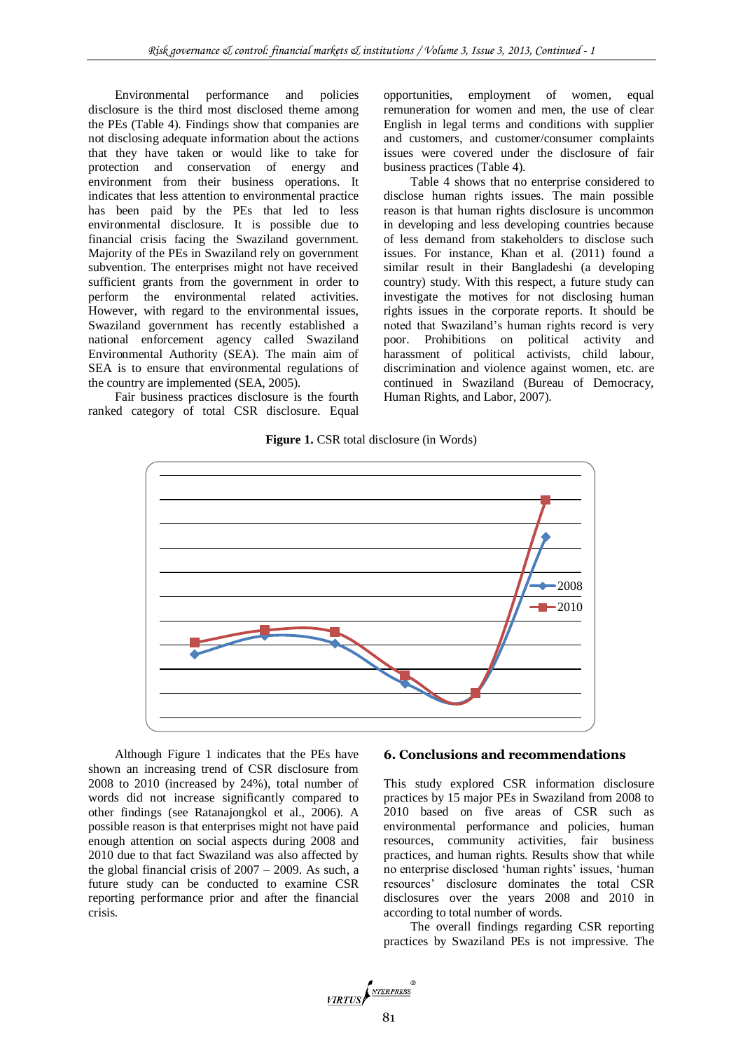Environmental performance and policies disclosure is the third most disclosed theme among the PEs (Table 4). Findings show that companies are not disclosing adequate information about the actions that they have taken or would like to take for protection and conservation of energy and environment from their business operations. It indicates that less attention to environmental practice has been paid by the PEs that led to less environmental disclosure. It is possible due to financial crisis facing the Swaziland government. Majority of the PEs in Swaziland rely on government subvention. The enterprises might not have received sufficient grants from the government in order to perform the environmental related activities. However, with regard to the environmental issues, Swaziland government has recently established a national enforcement agency called Swaziland Environmental Authority (SEA). The main aim of SEA is to ensure that environmental regulations of the country are implemented (SEA, 2005).

Fair business practices disclosure is the fourth ranked category of total CSR disclosure. Equal

opportunities, employment of women, equal remuneration for women and men, the use of clear English in legal terms and conditions with supplier and customers, and customer/consumer complaints issues were covered under the disclosure of fair business practices (Table 4).

Table 4 shows that no enterprise considered to disclose human rights issues. The main possible reason is that human rights disclosure is uncommon in developing and less developing countries because of less demand from stakeholders to disclose such issues. For instance, Khan et al. (2011) found a similar result in their Bangladeshi (a developing country) study. With this respect, a future study can investigate the motives for not disclosing human rights issues in the corporate reports. It should be noted that Swaziland's human rights record is very poor. Prohibitions on political activity and harassment of political activists, child labour, discrimination and violence against women, etc. are continued in Swaziland (Bureau of Democracy, Human Rights, and Labor, 2007).

#### **Figure 1.** CSR total disclosure (in Words)



Although Figure 1 indicates that the PEs have shown an increasing trend of CSR disclosure from 2008 to 2010 (increased by 24%), total number of words did not increase significantly compared to other findings (see Ratanajongkol et al., 2006). A possible reason is that enterprises might not have paid enough attention on social aspects during 2008 and 2010 due to that fact Swaziland was also affected by the global financial crisis of  $2007 - 2009$ . As such, a future study can be conducted to examine CSR reporting performance prior and after the financial crisis.

## **6. Conclusions and recommendations**

This study explored CSR information disclosure practices by 15 major PEs in Swaziland from 2008 to 2010 based on five areas of CSR such as environmental performance and policies, human resources, community activities, fair business practices, and human rights. Results show that while no enterprise disclosed 'human rights' issues, 'human resources' disclosure dominates the total CSR disclosures over the years 2008 and 2010 in according to total number of words.

The overall findings regarding CSR reporting practices by Swaziland PEs is not impressive. The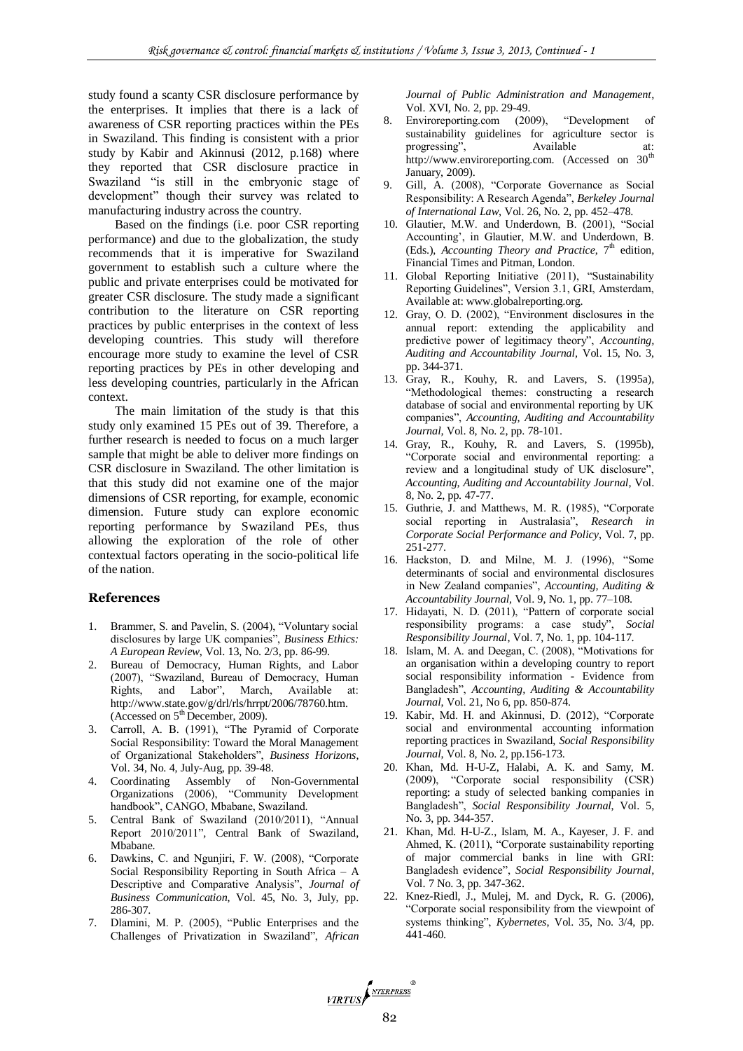study found a scanty CSR disclosure performance by the enterprises. It implies that there is a lack of awareness of CSR reporting practices within the PEs in Swaziland. This finding is consistent with a prior study by Kabir and Akinnusi (2012, p.168) where they reported that CSR disclosure practice in Swaziland "is still in the embryonic stage of development" though their survey was related to manufacturing industry across the country.

Based on the findings (i.e. poor CSR reporting performance) and due to the globalization, the study recommends that it is imperative for Swaziland government to establish such a culture where the public and private enterprises could be motivated for greater CSR disclosure. The study made a significant contribution to the literature on CSR reporting practices by public enterprises in the context of less developing countries. This study will therefore encourage more study to examine the level of CSR reporting practices by PEs in other developing and less developing countries, particularly in the African context.

The main limitation of the study is that this study only examined 15 PEs out of 39. Therefore, a further research is needed to focus on a much larger sample that might be able to deliver more findings on CSR disclosure in Swaziland. The other limitation is that this study did not examine one of the major dimensions of CSR reporting, for example, economic dimension. Future study can explore economic reporting performance by Swaziland PEs, thus allowing the exploration of the role of other contextual factors operating in the socio-political life of the nation.

#### **References**

- 1. Brammer, S. and Pavelin, S. (2004), "Voluntary social disclosures by large UK companies", *Business Ethics: A European Review*, Vol. 13, No. 2/3, pp. 86-99.
- 2. Bureau of Democracy, Human Rights, and Labor (2007), "Swaziland, Bureau of Democracy, Human Rights, and Labor", March, Available at: http://www.state.gov/g/drl/rls/hrrpt/2006/78760.htm. (Accessed on  $5<sup>th</sup>$  December, 2009).
- 3. Carroll, A. B. (1991), "The Pyramid of Corporate Social Responsibility: Toward the Moral Management of Organizational Stakeholders", *Business Horizons*, Vol. 34, No. 4, July-Aug, pp. 39-48.
- 4. Coordinating Assembly of Non-Governmental Organizations (2006), "Community Development handbook", CANGO, Mbabane, Swaziland.
- 5. Central Bank of Swaziland (2010/2011), "Annual Report 2010/2011"*,* Central Bank of Swaziland, Mbabane.
- 6. Dawkins, C. and Ngunjiri, F. W. (2008), "Corporate Social Responsibility Reporting in South Africa – A Descriptive and Comparative Analysis", *Journal of Business Communication*, Vol. 45, No. 3, July, pp. 286-307.
- 7. Dlamini, M. P. (2005), "Public Enterprises and the Challenges of Privatization in Swaziland", *African*

*Journal of Public Administration and Management*, Vol. XVI, No. 2, pp. 29-49.

- 8. Enviroreporting.com (2009), "Development of sustainability guidelines for agriculture sector is progressing", Available at: http://www.enviroreporting.com. (Accessed on 30<sup>th</sup> January, 2009).
- 9. Gill, A. (2008), "Corporate Governance as Social Responsibility: A Research Agenda", *Berkeley Journal of International Law*, Vol. 26, No. 2, pp. 452–478.
- 10. Glautier, M.W. and Underdown, B. (2001), "Social Accounting', in Glautier, M.W. and Underdown, B. (Eds.), *Accounting Theory and Practice*, 7<sup>th</sup> edition, Financial Times and Pitman, London.
- 11. Global Reporting Initiative (2011), "Sustainability Reporting Guidelines", Version 3.1, GRI, Amsterdam, Available at: www.globalreporting.org.
- 12. Gray, O. D. (2002), "Environment disclosures in the annual report: extending the applicability and predictive power of legitimacy theory", *Accounting, Auditing and Accountability Journal,* Vol. 15, No. 3, pp. 344-371.
- 13. Gray, R., Kouhy, R. and Lavers, S. (1995a), "Methodological themes: constructing a research database of social and environmental reporting by UK companies", *Accounting, Auditing and Accountability Journal,* Vol. 8, No. 2, pp. 78-101.
- 14. Gray, R., Kouhy, R. and Lavers, S. (1995b), "Corporate social and environmental reporting: a review and a longitudinal study of UK disclosure", *Accounting, Auditing and Accountability Journal,* Vol. 8, No. 2, pp. 47-77.
- 15. Guthrie, J. and Matthews, M. R. (1985), "Corporate social reporting in Australasia", *Research in Corporate Social Performance and Policy*, Vol. 7, pp. 251-277.
- 16. Hackston, D. and Milne, M. J. (1996), "Some determinants of social and environmental disclosures in New Zealand companies", *Accounting, Auditing & Accountability Journal,* Vol. 9, No. 1, pp. 77–108.
- 17. Hidayati, N. D. (2011), "Pattern of corporate social responsibility programs: a case study", *Social Responsibility Journal*, Vol. 7, No. 1, pp. 104-117.
- 18. Islam, M. A. and Deegan, C. (2008), "Motivations for an organisation within a developing country to report social responsibility information - Evidence from Bangladesh", *Accounting, Auditing & Accountability Journal*, Vol. 21, No 6, pp. 850-874.
- 19. Kabir, Md. H. and Akinnusi, D. (2012), "Corporate social and environmental accounting information reporting practices in Swaziland, *Social Responsibility Journal*, Vol. 8, No. 2, pp.156-173.
- 20. Khan, Md. H-U-Z, Halabi, A. K. and Samy, M. (2009), "Corporate social responsibility (CSR) reporting: a study of selected banking companies in Bangladesh", *Social Responsibility Journal*, Vol. 5, No. 3, pp. 344-357.
- 21. Khan, Md. H-U-Z., Islam, M. A., Kayeser, J. F. and Ahmed, K. (2011), "Corporate sustainability reporting of major commercial banks in line with GRI: Bangladesh evidence", *Social Responsibility Journal*, Vol. 7 No. 3, pp. 347-362.
- 22. Knez-Riedl, J., Mulej, M. and Dyck, R. G. (2006), "Corporate social responsibility from the viewpoint of systems thinking", *Kybernetes*, Vol. 35, No. 3/4, pp. 441-460.

VIRTUS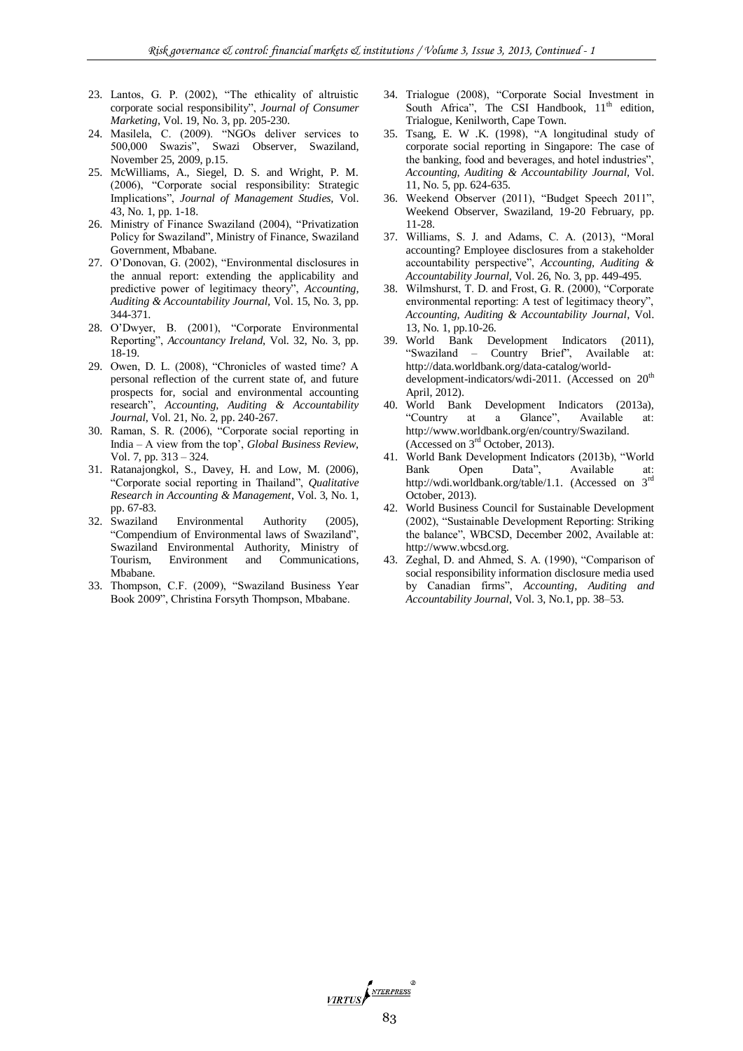- 23. Lantos, G. P. (2002), "The ethicality of altruistic corporate social responsibility", *Journal of Consumer Marketing*, Vol. 19, No. 3, pp. 205-230.
- 24. Masilela, C. (2009). "NGOs deliver services to 500,000 Swazis", Swazi Observer, Swaziland, November 25, 2009, p.15.
- 25. McWilliams, A., Siegel, D. S. and Wright, P. M. (2006), "Corporate social responsibility: Strategic Implications", *Journal of Management Studies,* Vol. 43, No. 1, pp. 1-18.
- 26. Ministry of Finance Swaziland (2004), "Privatization Policy for Swaziland", Ministry of Finance, Swaziland Government, Mbabane.
- 27. O'Donovan, G. (2002), "Environmental disclosures in the annual report: extending the applicability and predictive power of legitimacy theory", *Accounting, Auditing & Accountability Journal,* Vol. 15, No. 3, pp. 344-371.
- 28. O'Dwyer, B. (2001), "Corporate Environmental Reporting", *Accountancy Ireland*, Vol. 32, No. 3, pp. 18-19.
- 29. Owen, D. L. (2008), "Chronicles of wasted time? A personal reflection of the current state of, and future prospects for, social and environmental accounting research", *Accounting, Auditing & Accountability Journal*, Vol. 21, No. 2, pp. 240-267.
- 30. Raman, S. R. (2006), "Corporate social reporting in India – A view from the top', *Global Business Review*, Vol. 7, pp. 313 – 324.
- 31. Ratanajongkol, S., Davey, H. and Low, M. (2006), "Corporate social reporting in Thailand", *Qualitative Research in Accounting & Management*, Vol. 3, No. 1, pp. 67-83.
- 32. Swaziland Environmental Authority (2005), "Compendium of Environmental laws of Swaziland", Swaziland Environmental Authority, Ministry of Tourism, Environment and Communications, Mbabane.
- 33. Thompson, C.F. (2009), "Swaziland Business Year Book 2009", Christina Forsyth Thompson, Mbabane.
- 34. Trialogue (2008), "Corporate Social Investment in South Africa", The CSI Handbook,  $11<sup>th</sup>$  edition, Trialogue, Kenilworth, Cape Town.
- 35. Tsang, E. W .K. (1998), "A longitudinal study of corporate social reporting in Singapore: The case of the banking, food and beverages, and hotel industries", *Accounting, Auditing & Accountability Journal,* Vol. 11, No. 5, pp. 624-635.
- 36. Weekend Observer (2011), "Budget Speech 2011", Weekend Observer, Swaziland, 19-20 February, pp. 11-28.
- 37. Williams, S. J. and Adams, C. A. (2013), "Moral accounting? Employee disclosures from a stakeholder accountability perspective", *Accounting, Auditing & Accountability Journal,* Vol. 26, No. 3, pp. 449-495.
- 38. Wilmshurst, T. D. and Frost, G. R. (2000), "Corporate environmental reporting: A test of legitimacy theory", *Accounting, Auditing & Accountability Journal*, Vol. 13, No. 1, pp.10-26.
- 39. World Bank Development Indicators (2011), "Swaziland – Country Brief", Available at: http://data.worldbank.org/data-catalog/worlddevelopment-indicators/wdi-2011. (Accessed on 20<sup>th</sup> April, 2012).
- 40. World Bank Development Indicators (2013a),<br>
"Country at a Glance", Available at: a Glance", Available at: http://www.worldbank.org/en/country/Swaziland. (Accessed on  $3<sup>rd</sup>$  October, 2013).
- 41. World Bank Development Indicators (2013b), "World Bank Open Data", Available at: http://wdi.worldbank.org/table/1.1. (Accessed on 3rd October, 2013).
- 42. World Business Council for Sustainable Development (2002), "Sustainable Development Reporting: Striking the balance", WBCSD, December 2002, Available at: http://www.wbcsd.org.
- 43. Zeghal, D. and Ahmed, S. A. (1990), "Comparison of social responsibility information disclosure media used by Canadian firms", *Accounting, Auditing and Accountability Journal*, Vol. 3, No.1, pp. 38–53.